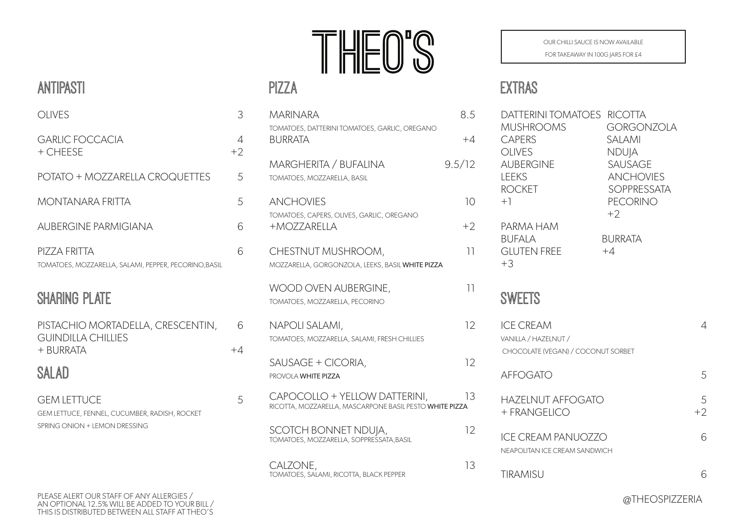# $\int_0^{\infty}$

#### PIZZA

| <b>MARINARA</b>                                                                          | 8.5    |
|------------------------------------------------------------------------------------------|--------|
| TOMATOES, DATTERINI TOMATOES, GARLIC, OREGANO<br><b>BURRATA</b>                          | $+4$   |
| <b>MARGHERITA / BUFALINA</b><br>TOMATOES, MOZZARELLA, BASIL                              | 9.5/12 |
| <b>ANCHOVIES</b>                                                                         | 10     |
| TOMATOES, CAPERS, OLIVES, GARLIC, OREGANO<br>+MOZZARELLA                                 | $+2$   |
| CHESTNUT MUSHROOM,<br>MOZZARELLA, GORGONZOLA, LEEKS, BASIL WHITE PIZZA                   | 11     |
| WOOD OVEN AUBERGINE,<br>TOMATOES, MOZZARELLA, PECORINO                                   | 11     |
| NAPOLI SALAMI,<br>TOMATOES, MOZZARELLA, SALAMI, FRESH CHILLIES                           | 12     |
| SAUSAGE + CICORIA,<br>PROVOLA WHITE PIZZA                                                | 12     |
| CAPOCOLLO + YELLOW DATTERINI,<br>RICOTTA, MOZZARELLA, MASCARPONE BASIL PESTO WHITE PIZZA | 13     |
| SCOTCH BONNET NDUJA,<br>TOMATOES, MOZZARELLA, SOPPRESSATA, BASIL                         | 12     |
| CALZONE,<br>TOMATOES, SALAMI, RICOTTA, BLACK PEPPER                                      | 13     |

OUR CHILLI SAUCE IS NOW AVAILABLE

FOR TAKEAWAY IN 100G JARS FOR £4

## EXTRAS

| DATTERINI TOMATOES<br><b>MUSHROOMS</b><br><b>CAPERS</b><br><b>OLIVES</b><br><b>AUBERGINE</b><br><b>LEEKS</b><br><b>ROCKET</b><br>$+1$<br>PARMA HAM<br><b>BUFALA</b><br><b>GLUTEN FREE</b><br>$+3$ | <b>RICOTTA</b><br><b>GORGONZOLA</b><br>SALAMI<br><b>NDUJA</b><br>SAUSAGE<br><b>ANCHOVIES</b><br><b>SOPPRESSATA</b><br><b>PECORINO</b><br>$+2$<br><b>BURRATA</b><br>$+4$ |           |
|---------------------------------------------------------------------------------------------------------------------------------------------------------------------------------------------------|-------------------------------------------------------------------------------------------------------------------------------------------------------------------------|-----------|
| SWEETS                                                                                                                                                                                            |                                                                                                                                                                         |           |
| <b>ICE CREAM</b><br>VANILLA / HAZELNUT /<br>CHOCOLATE (VEGAN) / COCONUT SORBET                                                                                                                    |                                                                                                                                                                         | 4         |
| <b>AFFOGATO</b>                                                                                                                                                                                   |                                                                                                                                                                         | 5         |
| <b>HAZELNUT AFFOGATO</b><br>+ FRANGELICO                                                                                                                                                          |                                                                                                                                                                         | 5<br>$+2$ |
| ICE CREAM PANUOZZO<br>NEAPOLITAN ICE CREAM SANDWICH                                                                                                                                               |                                                                                                                                                                         | 6         |
| <b>TIRAMISU</b>                                                                                                                                                                                   |                                                                                                                                                                         | 6         |

#### ANTIPASTI

| OLIVES                                                               | 3         |
|----------------------------------------------------------------------|-----------|
| GARLIC FOCCACIA<br>+ CHEESE                                          | 4<br>$+2$ |
| POTATO + MOZZARELLA CROQUETTES                                       | 5         |
| MONTANARA FRITTA                                                     | 5         |
| AUBERGINE PARMIGIANA                                                 | ĥ         |
| PIZZA FRITTA<br>TOMATOES, MOZZARELLA, SALAMI, PEPPER, PECORINO,BASIL |           |

# SHARING PLATE

| PISTACHIO MORTADELLA, CRESCENTIN, | 6    |
|-----------------------------------|------|
| <b>GUINDILLA CHILLIES</b>         |      |
| + BURRATA                         | $+4$ |
|                                   |      |

# SALAD

GEM LETTUCE 5 GEM LETTUCE, FENNEL, CUCUMBER, RADISH, ROCKET SPRING ONION + LEMON DRESSING